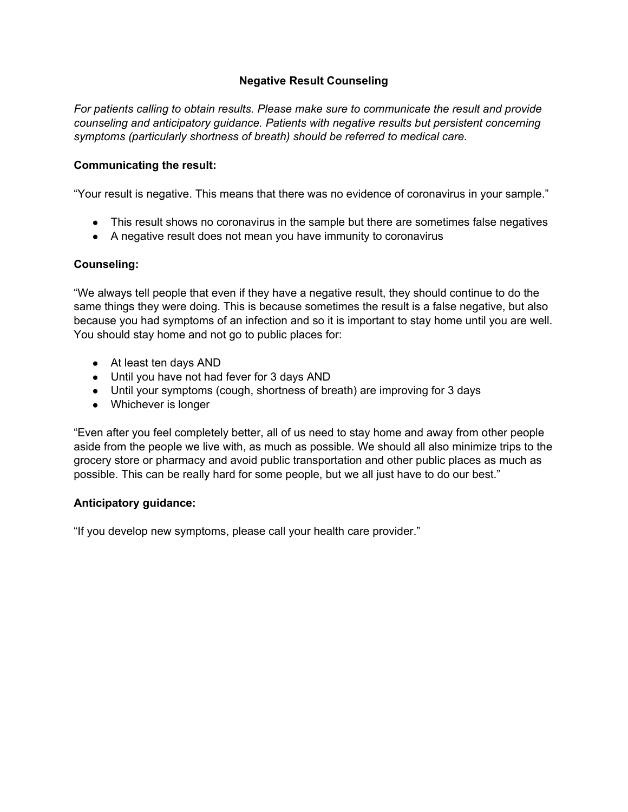## **Negative Result Counseling**

*For patients calling to obtain results. Please make sure to communicate the result and provide counseling and anticipatory guidance. Patients with negative results but persistent concerning symptoms (particularly shortness of breath) should be referred to medical care.*

#### **Communicating the result:**

"Your result is negative. This means that there was no evidence of coronavirus in your sample."

- This result shows no coronavirus in the sample but there are sometimes false negatives
- A negative result does not mean you have immunity to coronavirus

#### **Counseling:**

"We always tell people that even if they have a negative result, they should continue to do the same things they were doing. This is because sometimes the result is a false negative, but also because you had symptoms of an infection and so it is important to stay home until you are well. You should stay home and not go to public places for:

- At least ten days AND
- Until you have not had fever for 3 days AND
- Until your symptoms (cough, shortness of breath) are improving for 3 days
- Whichever is longer

"Even after you feel completely better, all of us need to stay home and away from other people aside from the people we live with, as much as possible. We should all also minimize trips to the grocery store or pharmacy and avoid public transportation and other public places as much as possible. This can be really hard for some people, but we all just have to do our best."

#### **Anticipatory guidance:**

"If you develop new symptoms, please call your health care provider."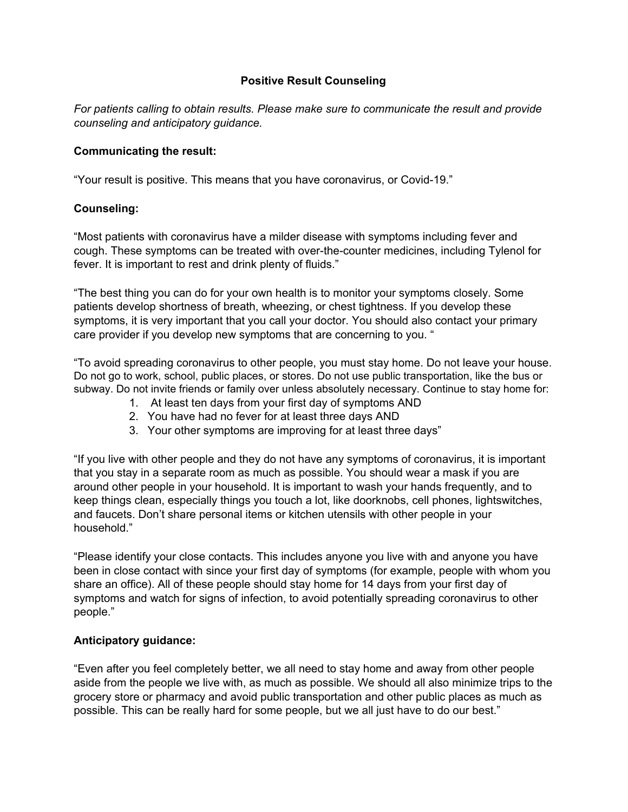## **Positive Result Counseling**

*For patients calling to obtain results. Please make sure to communicate the result and provide counseling and anticipatory guidance.*

#### **Communicating the result:**

"Your result is positive. This means that you have coronavirus, or Covid-19."

## **Counseling:**

"Most patients with coronavirus have a milder disease with symptoms including fever and cough. These symptoms can be treated with over-the-counter medicines, including Tylenol for fever. It is important to rest and drink plenty of fluids."

"The best thing you can do for your own health is to monitor your symptoms closely. Some patients develop shortness of breath, wheezing, or chest tightness. If you develop these symptoms, it is very important that you call your doctor. You should also contact your primary care provider if you develop new symptoms that are concerning to you. "

"To avoid spreading coronavirus to other people, you must stay home. Do not leave your house. Do not go to work, school, public places, or stores. Do not use public transportation, like the bus or subway. Do not invite friends or family over unless absolutely necessary. Continue to stay home for:

- 1. At least ten days from your first day of symptoms AND
- 2. You have had no fever for at least three days AND
- 3. Your other symptoms are improving for at least three days"

"If you live with other people and they do not have any symptoms of coronavirus, it is important that you stay in a separate room as much as possible. You should wear a mask if you are around other people in your household. It is important to wash your hands frequently, and to keep things clean, especially things you touch a lot, like doorknobs, cell phones, lightswitches, and faucets. Don't share personal items or kitchen utensils with other people in your household."

"Please identify your close contacts. This includes anyone you live with and anyone you have been in close contact with since your first day of symptoms (for example, people with whom you share an office). All of these people should stay home for 14 days from your first day of symptoms and watch for signs of infection, to avoid potentially spreading coronavirus to other people."

# **Anticipatory guidance:**

"Even after you feel completely better, we all need to stay home and away from other people aside from the people we live with, as much as possible. We should all also minimize trips to the grocery store or pharmacy and avoid public transportation and other public places as much as possible. This can be really hard for some people, but we all just have to do our best."